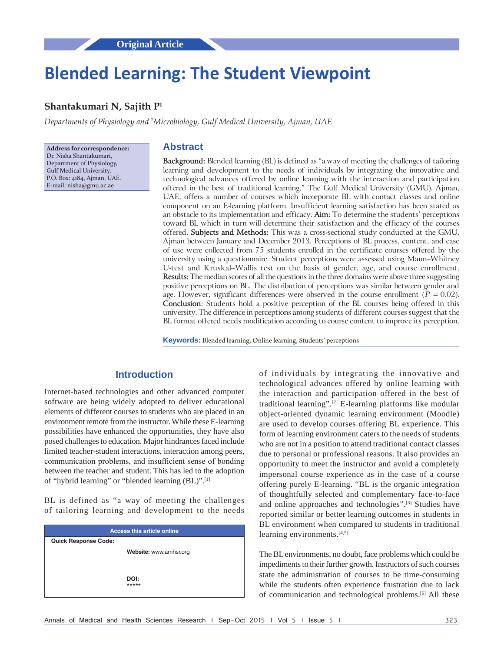# **Blended Learning: The Student Viewpoint**

## **Shantakumari N, Sajith P1**

*Departments of Physiology and 1 Microbiology, Gulf Medical University, Ajman, UAE*

**Address for correspondence:** Dr. Nisha Shantakumari, Department of Physiology, Gulf Medical University, P.O. Box: 4184, Ajman, UAE. E‑mail: nisha@gmu.ac.ae

## **Abstract**

**Background:** Blended learning (BL) is defined as "a way of meeting the challenges of tailoring learning and development to the needs of individuals by integrating the innovative and technological advances offered by online learning with the interaction and participation offered in the best of traditional learning." The Gulf Medical University (GMU), Ajman, UAE, offers a number of courses which incorporate BL with contact classes and online component on an E‑learning platform. Insufficient learning satisfaction has been stated as an obstacle to its implementation and efficacy. **Aim:** To determine the students' perceptions toward BL which in turn will determine their satisfaction and the efficacy of the courses offered. **Subjects and Methods:** This was a cross‑sectional study conducted at the GMU, Ajman between January and December 2013. Perceptions of BL process, content, and ease of use were collected from 75 students enrolled in the certificate courses offered by the university using a questionnaire. Student perceptions were assessed using Mann–Whitney U-test and Kruskal–Wallis test on the basis of gender, age, and course enrollment. **Results:** The median scores of all the questions in the three domains were above three suggesting positive perceptions on BL. The distribution of perceptions was similar between gender and age. However, significant differences were observed in the course enrollment  $(P = 0.02)$ . **Conclusion**: Students hold a positive perception of the BL courses being offered in this university. The difference in perceptions among students of different courses suggest that the BL format offered needs modification according to course content to improve its perception.

**Keywords:** Blended learning, Online learning, Students' perceptions

## **Introduction**

Internet-based technologies and other advanced computer software are being widely adopted to deliver educational elements of different courses to students who are placed in an environment remote from the instructor. While these E-learning possibilities have enhanced the opportunities, they have also posed challenges to education. Major hindrances faced include limited teacher-student interactions, interaction among peers, communication problems, and insufficient sense of bonding between the teacher and student. This has led to the adoption of "hybrid learning" or "blended learning (BL)".[1]

BL is defined as "a way of meeting the challenges of tailoring learning and development to the needs

| <b>Access this article online</b> |                        |  |  |  |  |
|-----------------------------------|------------------------|--|--|--|--|
| <b>Quick Response Code:</b>       |                        |  |  |  |  |
|                                   | Website: www.amhsr.org |  |  |  |  |
|                                   |                        |  |  |  |  |
|                                   |                        |  |  |  |  |
|                                   | DOI:<br>*****          |  |  |  |  |
|                                   |                        |  |  |  |  |

of individuals by integrating the innovative and technological advances offered by online learning with the interaction and participation offered in the best of traditional learning".[2] E-learning platforms like modular object-oriented dynamic learning environment (Moodle) are used to develop courses offering BL experience. This form of learning environment caters to the needs of students who are not in a position to attend traditional contact classes due to personal or professional reasons. It also provides an opportunity to meet the instructor and avoid a completely impersonal course experience as in the case of a course offering purely E-learning. "BL is the organic integration of thoughtfully selected and complementary face-to-face and online approaches and technologies".[3] Studies have reported similar or better learning outcomes in students in BL environment when compared to students in traditional learning environments.<sup>[4,5]</sup>

The BL environments, no doubt, face problems which could be impediments to their further growth. Instructors of such courses state the administration of courses to be time-consuming while the students often experience frustration due to lack of communication and technological problems.[6] All these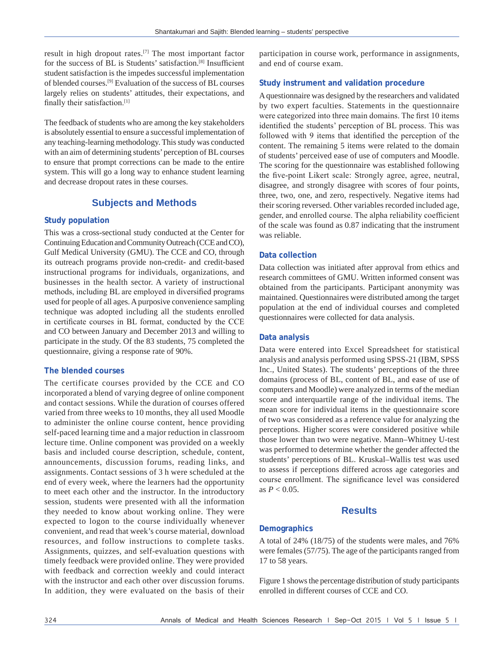result in high dropout rates.[7] The most important factor for the success of BL is Students' satisfaction.[8] Insufficient student satisfaction is the impedes successful implementation of blended courses.[9] Evaluation of the success of BL courses largely relies on students' attitudes, their expectations, and finally their satisfaction.[1]

The feedback of students who are among the key stakeholders is absolutely essential to ensure a successful implementation of any teaching-learning methodology. This study was conducted with an aim of determining students' perception of BL courses to ensure that prompt corrections can be made to the entire system. This will go a long way to enhance student learning and decrease dropout rates in these courses.

# **Subjects and Methods**

## **Study population**

This was a cross-sectional study conducted at the Center for Continuing Education and Community Outreach (CCE and CO), Gulf Medical University (GMU). The CCE and CO, through its outreach programs provide non-credit- and credit-based instructional programs for individuals, organizations, and businesses in the health sector. A variety of instructional methods, including BL are employed in diversified programs used for people of all ages. Apurposive convenience sampling technique was adopted including all the students enrolled in certificate courses in BL format, conducted by the CCE and CO between January and December 2013 and willing to participate in the study. Of the 83 students, 75 completed the questionnaire, giving a response rate of 90%.

## **The blended courses**

The certificate courses provided by the CCE and CO incorporated a blend of varying degree of online component and contact sessions. While the duration of courses offered varied from three weeks to 10 months, they all used Moodle to administer the online course content, hence providing self-paced learning time and a major reduction in classroom lecture time. Online component was provided on a weekly basis and included course description, schedule, content, announcements, discussion forums, reading links, and assignments. Contact sessions of 3 h were scheduled at the end of every week, where the learners had the opportunity to meet each other and the instructor. In the introductory session, students were presented with all the information they needed to know about working online. They were expected to logon to the course individually whenever convenient, and read that week's course material, download resources, and follow instructions to complete tasks. Assignments, quizzes, and self-evaluation questions with timely feedback were provided online. They were provided with feedback and correction weekly and could interact with the instructor and each other over discussion forums. In addition, they were evaluated on the basis of their

participation in course work, performance in assignments, and end of course exam.

## **Study instrument and validation procedure**

A questionnaire was designed by the researchers and validated by two expert faculties. Statements in the questionnaire were categorized into three main domains. The first 10 items identified the students' perception of BL process. This was followed with 9 items that identified the perception of the content. The remaining 5 items were related to the domain of students' perceived ease of use of computers and Moodle. The scoring for the questionnaire was established following the five-point Likert scale: Strongly agree, agree, neutral, disagree, and strongly disagree with scores of four points, three, two, one, and zero, respectively. Negative items had their scoring reversed. Other variables recorded included age, gender, and enrolled course. The alpha reliability coefficient of the scale was found as 0.87 indicating that the instrument was reliable.

### **Data collection**

Data collection was initiated after approval from ethics and research committees of GMU. Written informed consent was obtained from the participants. Participant anonymity was maintained. Questionnaires were distributed among the target population at the end of individual courses and completed questionnaires were collected for data analysis.

#### **Data analysis**

Data were entered into Excel Spreadsheet for statistical analysis and analysis performed using SPSS-21 (IBM, SPSS Inc., United States). The students' perceptions of the three domains (process of BL, content of BL, and ease of use of computers and Moodle) were analyzed in terms of the median score and interquartile range of the individual items. The mean score for individual items in the questionnaire score of two was considered as a reference value for analyzing the perceptions. Higher scores were considered positive while those lower than two were negative. Mann–Whitney U-test was performed to determine whether the gender affected the students' perceptions of BL. Kruskal–Wallis test was used to assess if perceptions differed across age categories and course enrollment. The significance level was considered as  $P < 0.05$ .

## **Results**

## **Demographics**

A total of 24% (18/75) of the students were males, and 76% were females (57/75). The age of the participants ranged from 17 to 58 years.

Figure 1 shows the percentage distribution of study participants enrolled in different courses of CCE and CO.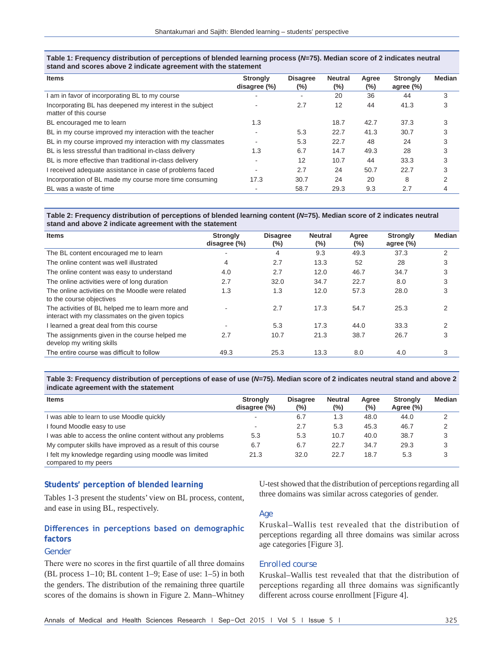| Table 1: Frequency distribution of perceptions of blended learning process (N=75). Median score of 2 indicates neutral |
|------------------------------------------------------------------------------------------------------------------------|
| stand and scores above 2 indicate agreement with the statement                                                         |

| <b>Items</b>                                                                      | <b>Strongly</b><br>disagree (%) | <b>Disagree</b><br>$(\%)$ | <b>Neutral</b><br>$(\%)$ | Agree<br>(%) | <b>Strongly</b><br>agree $(\%)$ | <b>Median</b> |
|-----------------------------------------------------------------------------------|---------------------------------|---------------------------|--------------------------|--------------|---------------------------------|---------------|
| I am in favor of incorporating BL to my course                                    |                                 | ٠                         | 20                       | 36           | 44                              | 3             |
| Incorporating BL has deepened my interest in the subject<br>matter of this course |                                 | 2.7                       | 12                       | 44           | 41.3                            | 3             |
| BL encouraged me to learn                                                         | 1.3                             |                           | 18.7                     | 42.7         | 37.3                            | 3             |
| BL in my course improved my interaction with the teacher                          |                                 | 5.3                       | 22.7                     | 41.3         | 30.7                            | 3             |
| BL in my course improved my interaction with my classmates                        |                                 | 5.3                       | 22.7                     | 48           | 24                              | 3             |
| BL is less stressful than traditional in-class delivery                           | 1.3                             | 6.7                       | 14.7                     | 49.3         | 28                              | 3             |
| BL is more effective than traditional in-class delivery                           |                                 | 12                        | 10.7                     | 44           | 33.3                            | 3             |
| I received adequate assistance in case of problems faced                          |                                 | 2.7                       | 24                       | 50.7         | 22.7                            | 3             |
| Incorporation of BL made my course more time consuming                            | 17.3                            | 30.7                      | 24                       | 20           | 8                               | ⌒             |
| BL was a waste of time                                                            |                                 | 58.7                      | 29.3                     | 9.3          | 2.7                             |               |

#### **Table 2: Frequency distribution of perceptions of blended learning content (***N***=75). Median score of 2 indicates neutral stand and above 2 indicate agreement with the statement**

| <b>Items</b>                                                                                        | <b>Strongly</b><br>disagree (%) | <b>Disagree</b><br>$(\%)$ | <b>Neutral</b><br>(%) | Agree<br>$(\%)$ | <b>Strongly</b><br>agree $(\%)$ | <b>Median</b> |
|-----------------------------------------------------------------------------------------------------|---------------------------------|---------------------------|-----------------------|-----------------|---------------------------------|---------------|
| The BL content encouraged me to learn                                                               |                                 | 4                         | 9.3                   | 49.3            | 37.3                            | 2             |
| The online content was well illustrated                                                             | 4                               | 2.7                       | 13.3                  | 52              | 28                              | 3             |
| The online content was easy to understand                                                           | 4.0                             | 2.7                       | 12.0                  | 46.7            | 34.7                            | 3             |
| The online activities were of long duration                                                         | 2.7                             | 32.0                      | 34.7                  | 22.7            | 8.0                             | 3             |
| The online activities on the Moodle were related<br>to the course objectives                        | 1.3                             | 1.3                       | 12.0                  | 57.3            | 28.0                            | 3             |
| The activities of BL helped me to learn more and<br>interact with my classmates on the given topics |                                 | 2.7                       | 17.3                  | 54.7            | 25.3                            | 2             |
| I learned a great deal from this course                                                             |                                 | 5.3                       | 17.3                  | 44.0            | 33.3                            | 2             |
| The assignments given in the course helped me<br>develop my writing skills                          | 2.7                             | 10.7                      | 21.3                  | 38.7            | 26.7                            | 3             |
| The entire course was difficult to follow                                                           | 49.3                            | 25.3                      | 13.3                  | 8.0             | 4.0                             | 3             |

#### **Table 3: Frequency distribution of perceptions of ease of use (***N***=75). Median score of 2 indicates neutral stand and above 2 indicate agreement with the statement**

| <b>Items</b>                                                 | <b>Strongly</b><br>disagree (%) | <b>Disagree</b><br>$(\%)$ | <b>Neutral</b><br>$(\%)$ | Aaree<br>$(\% )$ | <b>Stronaly</b><br>Agree (%) | <b>Median</b> |
|--------------------------------------------------------------|---------------------------------|---------------------------|--------------------------|------------------|------------------------------|---------------|
| was able to learn to use Moodle quickly                      |                                 | 6.7                       | 1.3                      | 48.0             | 44.0                         | 2             |
| I found Moodle easy to use                                   | -                               | 2.7                       | 5.3                      | 45.3             | 46.7                         | 2             |
| I was able to access the online content without any problems | 5.3                             | 5.3                       | 10.7                     | 40.0             | 38.7                         | 3             |
| My computer skills have improved as a result of this course  | 6.7                             | 6.7                       | 22.7                     | 34.7             | 29.3                         | 3             |
| I felt my knowledge regarding using moodle was limited       | 21.3                            | 32.0                      | 22.7                     | 18.7             | 5.3                          |               |
| compared to my peers                                         |                                 |                           |                          |                  |                              |               |

## **Students' perception of blended learning**

Tables 1-3 present the students' view on BL process, content, and ease in using BL, respectively.

## **Differences in perceptions based on demographic factors**

#### *Gender*

There were no scores in the first quartile of all three domains (BL process 1–10; BL content 1–9; Ease of use: 1–5) in both the genders. The distribution of the remaining three quartile scores of the domains is shown in Figure 2. Mann–Whitney

U-test showed that the distribution of perceptions regarding all three domains was similar across categories of gender.

#### *Age*

Kruskal–Wallis test revealed that the distribution of perceptions regarding all three domains was similar across age categories [Figure 3].

#### *Enrolled course*

Kruskal–Wallis test revealed that that the distribution of perceptions regarding all three domains was significantly different across course enrollment [Figure 4].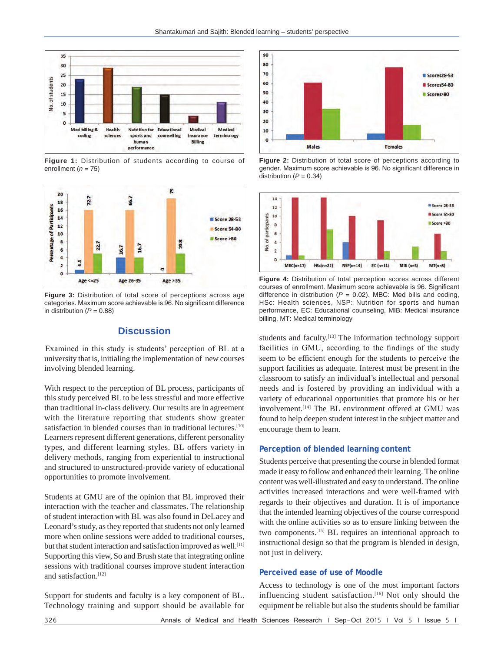

**Figure 1:** Distribution of students according to course of enrollment (*n* = 75)



**Figure 3:** Distribution of total score of perceptions across age categories. Maximum score achievable is 96. No significant difference in distribution  $(P = 0.88)$ 

# **Discussion**

 Examined in this study is students' perception of BL at a university that is, initialing the implementation of new courses involving blended learning.

With respect to the perception of BL process, participants of this study perceived BL to be less stressful and more effective than traditional in-class delivery. Our results are in agreement with the literature reporting that students show greater satisfaction in blended courses than in traditional lectures.<sup>[10]</sup> Learners represent different generations, different personality types, and different learning styles. BL offers variety in delivery methods, ranging from experiential to instructional and structured to unstructured-provide variety of educational opportunities to promote involvement.

Students at GMU are of the opinion that BL improved their interaction with the teacher and classmates. The relationship of student interaction with BL was also found in DeLacey and Leonard's study, as they reported that students not only learned more when online sessions were added to traditional courses, but that student interaction and satisfaction improved as well.<sup>[11]</sup> Supporting this view, So and Brush state that integrating online sessions with traditional courses improve student interaction and satisfaction.[12]

Support for students and faculty is a key component of BL. Technology training and support should be available for



**Figure 2:** Distribution of total score of perceptions according to gender. Maximum score achievable is 96. No significant difference in distribution  $(P = 0.34)$ 



**Figure 4:** Distribution of total perception scores across different courses of enrollment. Maximum score achievable is 96. Significant difference in distribution ( $P = 0.02$ ). MBC: Med bills and coding, HSc: Health sciences, NSP: Nutrition for sports and human performance, EC: Educational counseling, MIB: Medical insurance billing, MT: Medical terminology

students and faculty.<sup>[13]</sup> The information technology support facilities in GMU, according to the findings of the study seem to be efficient enough for the students to perceive the support facilities as adequate. Interest must be present in the classroom to satisfy an individual's intellectual and personal needs and is fostered by providing an individual with a variety of educational opportunities that promote his or her involvement.[14] The BL environment offered at GMU was found to help deepen student interest in the subject matter and encourage them to learn.

#### **Perception of blended learning content**

Students perceive that presenting the course in blended format made it easy to follow and enhanced their learning. The online content was well-illustrated and easy to understand. The online activities increased interactions and were well-framed with regards to their objectives and duration. It is of importance that the intended learning objectives of the course correspond with the online activities so as to ensure linking between the two components.[15] BL requires an intentional approach to instructional design so that the program is blended in design, not just in delivery.

### **Perceived ease of use of Moodle**

Access to technology is one of the most important factors influencing student satisfaction.[16] Not only should the equipment be reliable but also the students should be familiar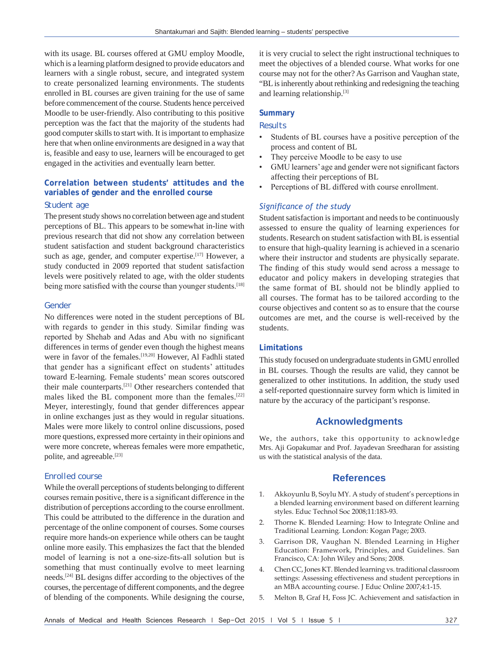with its usage. BL courses offered at GMU employ Moodle, which is a learning platform designed to provide educators and learners with a single robust, secure, and integrated system to create personalized learning environments. The students enrolled in BL courses are given training for the use of same before commencement of the course. Students hence perceived Moodle to be user-friendly. Also contributing to this positive perception was the fact that the majority of the students had good computer skills to start with. It is important to emphasize here that when online environments are designed in a way that is, feasible and easy to use, learners will be encouraged to get engaged in the activities and eventually learn better.

# **Correlation between students' attitudes and the variables of gender and the enrolled course**

#### *Student age*

The present study shows no correlation between age and student perceptions of BL. This appears to be somewhat in-line with previous research that did not show any correlation between student satisfaction and student background characteristics such as age, gender, and computer expertise.<sup>[17]</sup> However, a study conducted in 2009 reported that student satisfaction levels were positively related to age, with the older students being more satisfied with the course than younger students.<sup>[18]</sup>

#### *Gender*

No differences were noted in the student perceptions of BL with regards to gender in this study. Similar finding was reported by Shehab and Adas and Abu with no significant differences in terms of gender even though the highest means were in favor of the females.<sup>[19,20]</sup> However, Al Fadhli stated that gender has a significant effect on students' attitudes toward E-learning. Female students' mean scores outscored their male counterparts.[21] Other researchers contended that males liked the BL component more than the females.<sup>[22]</sup> Meyer, interestingly, found that gender differences appear in online exchanges just as they would in regular situations. Males were more likely to control online discussions, posed more questions, expressed more certainty in their opinions and were more concrete, whereas females were more empathetic, polite, and agreeable.<sup>[23]</sup>

## *Enrolled course*

While the overall perceptions of students belonging to different courses remain positive, there is a significant difference in the distribution of perceptions according to the course enrollment. This could be attributed to the difference in the duration and percentage of the online component of courses. Some courses require more hands-on experience while others can be taught online more easily. This emphasizes the fact that the blended model of learning is not a one-size-fits-all solution but is something that must continually evolve to meet learning needs.[24] BL designs differ according to the objectives of the courses, the percentage of different components, and the degree of blending of the components. While designing the course,

it is very crucial to select the right instructional techniques to meet the objectives of a blended course. What works for one course may not for the other? As Garrison and Vaughan state, "BL is inherently about rethinking and redesigning the teaching and learning relationship.[3]

#### **Summary**

#### *Results*

- Students of BL courses have a positive perception of the process and content of BL
- They perceive Moodle to be easy to use
- GMU learners' age and gender were not significant factors affecting their perceptions of BL
- Perceptions of BL differed with course enrollment.

## *Significance of the study*

Student satisfaction is important and needs to be continuously assessed to ensure the quality of learning experiences for students. Research on student satisfaction with BL is essential to ensure that high-quality learning is achieved in a scenario where their instructor and students are physically separate. The finding of this study would send across a message to educator and policy makers in developing strategies that the same format of BL should not be blindly applied to all courses. The format has to be tailored according to the course objectives and content so as to ensure that the course outcomes are met, and the course is well-received by the students.

#### **Limitations**

This study focused on undergraduate students in GMU enrolled in BL courses. Though the results are valid, they cannot be generalized to other institutions. In addition, the study used a self-reported questionnaire survey form which is limited in nature by the accuracy of the participant's response.

## **Acknowledgments**

We, the authors, take this opportunity to acknowledge Mrs. Aji Gopakumar and Prof. Jayadevan Sreedharan for assisting us with the statistical analysis of the data.

## **References**

- 1. Akkoyunlu B, Soylu MY. A study of student's perceptions in a blended learning environment based on different learning styles. Educ Technol Soc 2008;11:183‑93.
- 2. Thorne K. Blended Learning: How to Integrate Online and Traditional Learning. London: Kogan Page; 2003.
- 3. Garrison DR, Vaughan N. Blended Learning in Higher Education: Framework, Principles, and Guidelines. San Francisco, CA: John Wiley and Sons; 2008.
- 4. Chen CC, Jones KT. Blended learning vs. traditional classroom settings: Assessing effectiveness and student perceptions in an MBA accounting course. J Educ Online 2007;4:1-15.
- 5. Melton B, Graf H, Foss JC. Achievement and satisfaction in